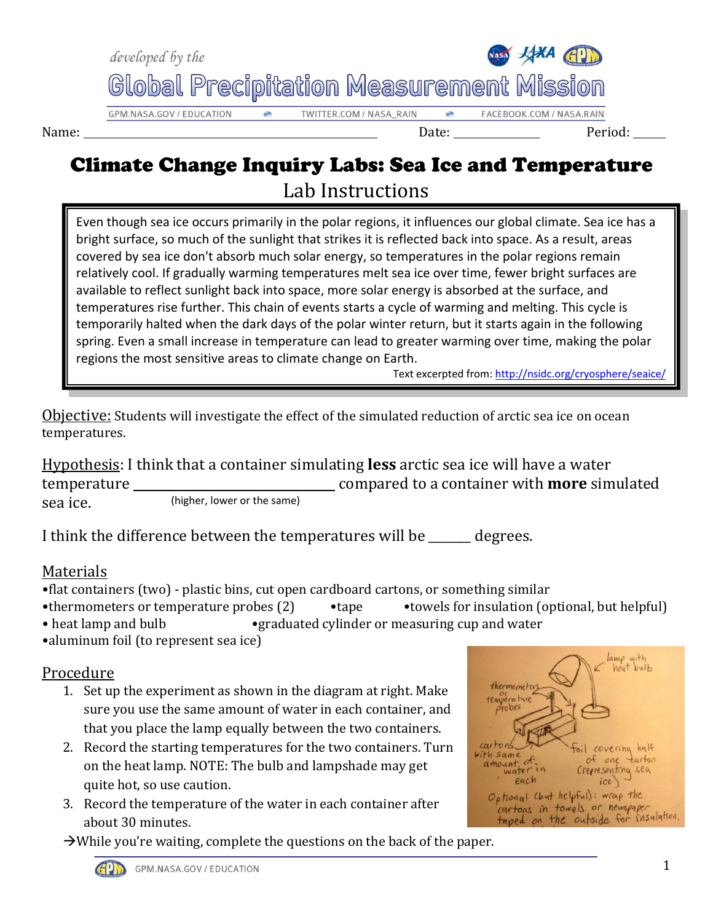

## Climate Change Inquiry Labs: Sea Ice and Temperature Lab Instructions

Even though sea ice occurs primarily in the polar regions, it influences our global climate. Sea ice has a bright surface, so much of the sunlight that strikes it is reflected back into space. As a result, areas covered by sea ice don't absorb much solar energy, so temperatures in the polar regions remain relatively cool. If gradually warming temperatures melt sea ice over time, fewer bright surfaces are available to reflect sunlight back into space, more solar energy is absorbed at the surface, and temperatures rise further. This chain of events starts a cycle of warming and melting. This cycle is temporarily halted when the dark days of the polar winter return, but it starts again in the following spring. Even a small increase in temperature can lead to greater warming over time, making the polar regions the most sensitive areas to climate change on Earth.

Text excerpted from: [http://nsidc.org/cryosphere/seaice/](http://nsidc.org/cryosphere/seaice) 

Objective: Students will investigate the effect of the simulated reduction of arctic sea ice on ocean temperatures.

Hypothesis: I think that a container simulating **less** arctic sea ice will have a water temperature compared to a container with **more** simulated sea ice. (higher, lower or the same)

I think the difference between the temperatures will be \_\_\_\_\_\_\_ degrees.

### Materials

- •flat containers (two) plastic bins, cut open cardboard cartons, or something similar
- •thermometers or temperature probes (2) •tape •towels for insulation (optional, but helpful)
- heat lamp and bulb graduated cylinder or measuring cup and water
- •aluminum foil (to represent sea ice)

### Procedure

- 1. Set up the experiment as shown in the diagram at right. Make sure you use the same amount of water in each container, and that you place the lamp equally between the two containers.
- 2. Record the starting temperatures for the two containers. Turn on the heat lamp. NOTE: The bulb and lampshade may get quite hot, so use caution.
- 3. Record the temperature of the water in each container after about 30 minutes.

 $\rightarrow$ While you're waiting, complete the questions on the back of the paper.